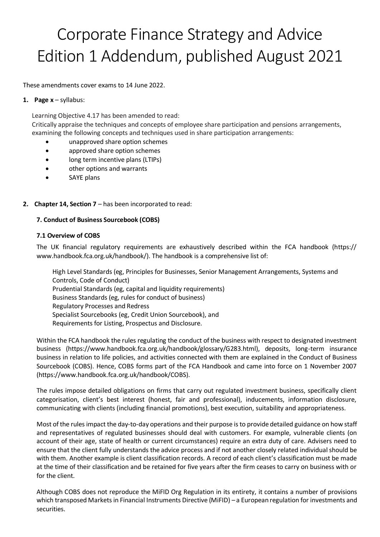# Corporate Finance Strategy and Advice Edition 1 Addendum, published August 2021

These amendments cover exams to 14 June 2022.

#### **1. Page x** – syllabus:

Learning Objective 4.17 has been amended to read:

Critically appraise the techniques and concepts of employee share participation and pensions arrangements, examining the following concepts and techniques used in share participation arrangements:

- unapproved share option schemes
- approved share option schemes
- long term incentive plans (LTIPs)
- other options and warrants
- SAYE plans

## **2. Chapter 14, Section 7** – has been incorporated to read:

### **7. Conduct of Business Sourcebook (COBS)**

#### **7.1 Overview of COBS**

The UK financial regulatory requirements are exhaustively described within the FCA handbook (https:// www.handbook.fca.org.uk/handbook/). The handbook is a comprehensive list of:

High Level Standards (eg, Principles for Businesses, Senior Management Arrangements, Systems and Controls, Code of Conduct) Prudential Standards (eg, capital and liquidity requirements) Business Standards (eg, rules for conduct of business) Regulatory Processes and Redress Specialist Sourcebooks (eg, Credit Union Sourcebook), and Requirements for Listing, Prospectus and Disclosure.

Within the FCA handbook the rules regulating the conduct of the business with respect to designated investment business (https://www.handbook.fca.org.uk/handbook/glossary/G283.html), deposits, long-term insurance business in relation to life policies, and activities connected with them are explained in the Conduct of Business Sourcebook (COBS). Hence, COBS forms part of the FCA Handbook and came into force on 1 November 2007 (https://www.handbook.fca.org.uk/handbook/COBS).

The rules impose detailed obligations on firms that carry out regulated investment business, specifically client categorisation, client's best interest (honest, fair and professional), inducements, information disclosure, communicating with clients (including financial promotions), best execution, suitability and appropriateness.

Most of the rules impact the day-to-day operations and their purpose is to provide detailed guidance on how staff and representatives of regulated businesses should deal with customers. For example, vulnerable clients (on account of their age, state of health or current circumstances) require an extra duty of care. Advisers need to ensure that the client fully understands the advice process and if not another closely related individual should be with them. Another example is client classification records. A record of each client's classification must be made at the time of their classification and be retained for five years after the firm ceases to carry on business with or for the client.

Although COBS does not reproduce the MiFID Org Regulation in its entirety, it contains a number of provisions which transposed Markets in Financial Instruments Directive (MiFID) – a European regulation for investments and securities.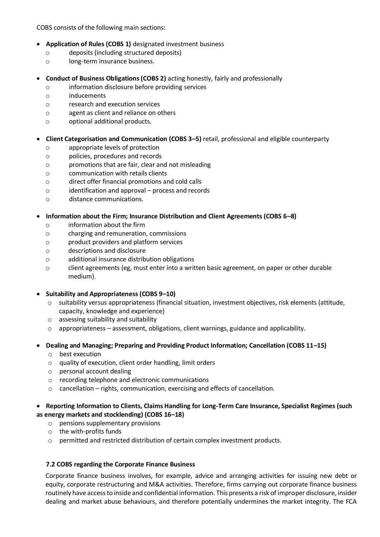COBS consists of the following main sections:

- **Application of Rules (COBS 1)** designated investment business
	- o deposits (including structured deposits)
	- o long-term insurance business.
- **Conduct of Business Obligations (COBS 2)** acting honestly, fairly and professionally
	- o information disclosure before providing services
	- o inducements
	- o research and execution services
	- o agent as client and reliance on others
	- o optional additional products.

## • **Client Categorisation and Communication (COBS 3–5)** retail, professional and eligible counterparty

- o appropriate levels of protection
- o policies, procedures and records
- o promotions that are fair, clear and not misleading
- o communication with retails clients
- o direct offer financial promotions and cold calls
- o identification and approval process and records
- o distance communications.

## • **Information about the Firm; Insurance Distribution and Client Agreements (COBS 6–8)**

- o information about the firm
- o charging and remuneration, commissions
- o product providers and platform services
- o descriptions and disclosure
- o additional insurance distribution obligations
- o client agreements (eg, must enter into a written basic agreement, on paper or other durable medium).

### • **Suitability and Appropriateness (COBS 9–10)**

- o suitability versus appropriateness (financial situation, investment objectives, risk elements (attitude, capacity, knowledge and experience)
- o assessing suitability and suitability
- o appropriateness assessment, obligations, client warnings, guidance and applicability.

## • **Dealing and Managing; Preparing and Providing Product Information; Cancellation (COBS 11–15)**

- o best execution
- o quality of execution, client order handling, limit orders
- o personal account dealing
- o recording telephone and electronic communications
- o cancellation rights, communication, exercising and effects of cancellation.

## • **Reporting Information to Clients, Claims Handling for Long-Term Care Insurance, Specialist Regimes (such as energy markets and stocklending) (COBS 16–18)**

- o pensions supplementary provisions
- o the with-profits funds
- o permitted and restricted distribution of certain complex investment products.

### **7.2 COBS regarding the Corporate Finance Business**

Corporate finance business involves, for example, advice and arranging activities for issuing new debt or equity, corporate restructuring and M&A activities. Therefore, firms carrying out corporate finance business routinely have access to inside and confidential information. This presents a risk of improper disclosure, insider dealing and market abuse behaviours, and therefore potentially undermines the market integrity. The FCA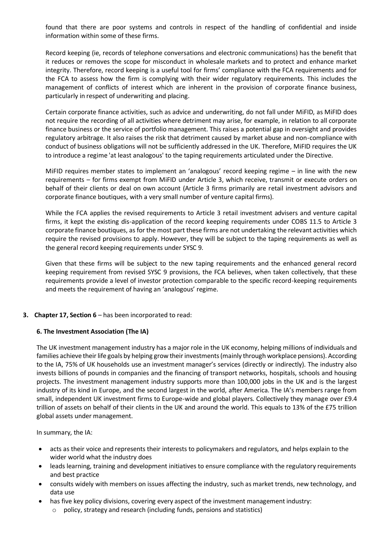found that there are poor systems and controls in respect of the handling of confidential and inside information within some of these firms.

Record keeping (ie, records of telephone conversations and electronic communications) has the benefit that it reduces or removes the scope for misconduct in wholesale markets and to protect and enhance market integrity. Therefore, record keeping is a useful tool for firms' compliance with the FCA requirements and for the FCA to assess how the firm is complying with their wider regulatory requirements. This includes the management of conflicts of interest which are inherent in the provision of corporate finance business, particularly in respect of underwriting and placing.

Certain corporate finance activities, such as advice and underwriting, do not fall under MiFID, as MiFID does not require the recording of all activities where detriment may arise, for example, in relation to all corporate finance business or the service of portfolio management. This raises a potential gap in oversight and provides regulatory arbitrage. It also raises the risk that detriment caused by market abuse and non-compliance with conduct of business obligations will not be sufficiently addressed in the UK. Therefore, MiFID requires the UK to introduce a regime 'at least analogous' to the taping requirements articulated under the Directive.

MiFID requires member states to implement an 'analogous' record keeping regime – in line with the new requirements – for firms exempt from MiFID under Article 3, which receive, transmit or execute orders on behalf of their clients or deal on own account (Article 3 firms primarily are retail investment advisors and corporate finance boutiques, with a very small number of venture capital firms).

While the FCA applies the revised requirements to Article 3 retail investment advisers and venture capital firms, it kept the existing dis-application of the record keeping requirements under COBS 11.5 to Article 3 corporate finance boutiques, as for the most part these firms are not undertaking the relevant activities which require the revised provisions to apply. However, they will be subject to the taping requirements as well as the general record keeping requirements under SYSC 9.

Given that these firms will be subject to the new taping requirements and the enhanced general record keeping requirement from revised SYSC 9 provisions, the FCA believes, when taken collectively, that these requirements provide a level of investor protection comparable to the specific record-keeping requirements and meets the requirement of having an 'analogous' regime.

### **3. Chapter 17, Section 6** – has been incorporated to read:

#### **6. The Investment Association (The IA)**

The UK investment management industry has a major role in the UK economy, helping millions of individuals and families achieve their life goals by helping grow their investments (mainly through workplace pensions). According to the IA, 75% of UK households use an investment manager's services (directly or indirectly). The industry also invests billions of pounds in companies and the financing of transport networks, hospitals, schools and housing projects. The investment management industry supports more than 100,000 jobs in the UK and is the largest industry of its kind in Europe, and the second largest in the world, after America. The IA's members range from small, independent UK investment firms to Europe-wide and global players. Collectively they manage over £9.4 trillion of assets on behalf of their clients in the UK and around the world. This equals to 13% of the £75 trillion global assets under management.

In summary, the IA:

- acts as their voice and represents their interests to policymakers and regulators, and helps explain to the wider world what the industry does
- leads learning, training and development initiatives to ensure compliance with the regulatory requirements and best practice
- consults widely with members on issues affecting the industry, such as market trends, new technology, and data use
- has five key policy divisions, covering every aspect of the investment management industry:
	- o policy, strategy and research (including funds, pensions and statistics)